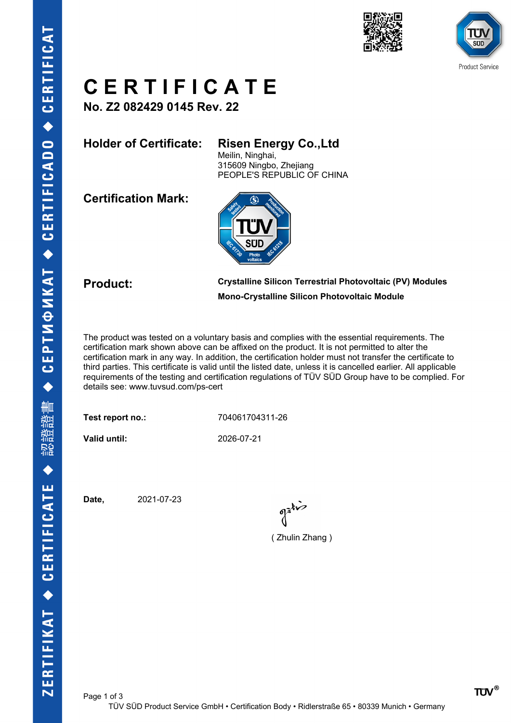



# **C E R T I F I C A T E**

**No. Z2 082429 0145 Rev. 22**

### **Holder of Certificate: Risen Energy Co.,Ltd**

Meilin, Ninghai, 315609 Ningbo, Zhejiang PEOPLE'S REPUBLIC OF CHINA

**Certification Mark:**



#### **Product: Crystalline Silicon Terrestrial Photovoltaic (PV) Modules Mono-Crystalline Silicon Photovoltaic Module**

The product was tested on a voluntary basis and complies with the essential requirements. The certification mark shown above can be affixed on the product. It is not permitted to alter the certification mark in any way. In addition, the certification holder must not transfer the certificate to third parties. This certificate is valid until the listed date, unless it is cancelled earlier. All applicable requirements of the testing and certification regulations of TÜV SÜD Group have to be complied. For details see: www.tuvsud.com/ps-cert

Test report no.: 704061704311-26

**Valid until:** 2026-07-21

**Date,** 2021-07-23

gatis

( Zhulin Zhang )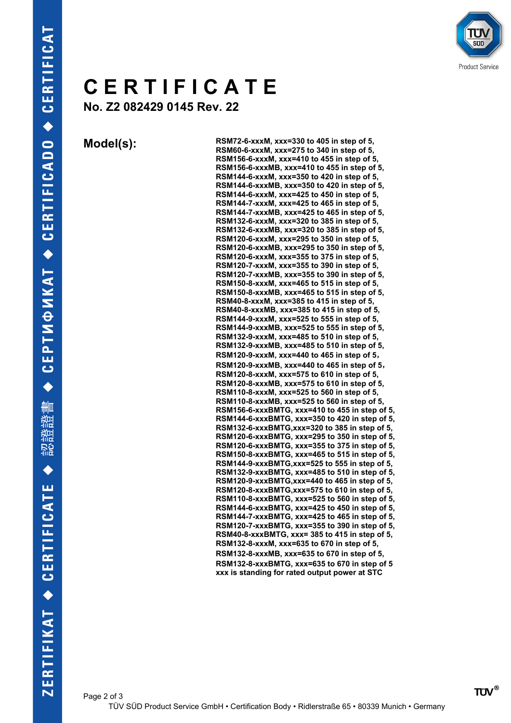

# **C E R T I F I C A T E**

**No. Z2 082429 0145 Rev. 22**

**Model(s): RSM72-6-xxxM, xxx=330 to 405 in step of 5, RSM60-6-xxxM, xxx=275 to 340 in step of 5, RSM156-6-xxxM, xxx=410 to 455 in step of 5, RSM156-6-xxxMB, xxx=410 to 455 in step of 5, RSM144-6-xxxM, xxx=350 to 420 in step of 5, RSM144-6-xxxMB, xxx=350 to 420 in step of 5, RSM144-6-xxxM, xxx=425 to 450 in step of 5, RSM144-7-xxxM, xxx=425 to 465 in step of 5, RSM144-7-xxxMB, xxx=425 to 465 in step of 5, RSM132-6-xxxM, xxx=320 to 385 in step of 5, RSM132-6-xxxMB, xxx=320 to 385 in step of 5, RSM120-6-xxxM, xxx=295 to 350 in step of 5, RSM120-6-xxxMB, xxx=295 to 350 in step of 5, RSM120-6-xxxM, xxx=355 to 375 in step of 5, RSM120-7-xxxM, xxx=355 to 390 in step of 5, RSM120-7-xxxMB, xxx=355 to 390 in step of 5, RSM150-8-xxxM, xxx=465 to 515 in step of 5, RSM150-8-xxxMB, xxx=465 to 515 in step of 5, RSM40-8-xxxM, xxx=385 to 415 in step of 5, RSM40-8-xxxMB, xxx=385 to 415 in step of 5, RSM144-9-xxxM, xxx=525 to 555 in step of 5, RSM144-9-xxxMB, xxx=525 to 555 in step of 5, RSM132-9-xxxM, xxx=485 to 510 in step of 5, RSM132-9-xxxMB, xxx=485 to 510 in step of 5, RSM120-9-xxxM, xxx=440 to 465 in step of 5, RSM120-9-xxxMB, xxx=440 to 465 in step of 5, RSM120-8-xxxM, xxx=575 to 610 in step of 5, RSM120-8-xxxMB, xxx=575 to 610 in step of 5, RSM110-8-xxxM, xxx=525 to 560 in step of 5, RSM110-8-xxxMB, xxx=525 to 560 in step of 5, RSM156-6-xxxBMTG, xxx=410 to 455 in step of 5, RSM144-6-xxxBMTG, xxx=350 to 420 in step of 5, RSM132-6-xxxBMTG,xxx=320 to 385 in step of 5, RSM120-6-xxxBMTG, xxx=295 to 350 in step of 5, RSM120-6-xxxBMTG, xxx=355 to 375 in step of 5, RSM150-8-xxxBMTG, xxx=465 to 515 in step of 5, RSM144-9-xxxBMTG,xxx=525 to 555 in step of 5, RSM132-9-xxxBMTG, xxx=485 to 510 in step of 5, RSM120-9-xxxBMTG,xxx=440 to 465 in step of 5, RSM120-8-xxxBMTG,xxx=575 to 610 in step of 5, RSM110-8-xxxBMTG, xxx=525 to 560 in step of 5, RSM144-6-xxxBMTG, xxx=425 to 450 in step of 5, RSM144-7-xxxBMTG, xxx=425 to 465 in step of 5, RSM120-7-xxxBMTG, xxx=355 to 390 in step of 5, RSM40-8-xxxBMTG, xxx= 385 to 415 in step of 5, RSM132-8-xxxM, xxx=635 to 670 in step of 5, RSM132-8-xxxMB, xxx=635 to 670 in step of 5, RSM132-8-xxxBMTG, xxx=635 to 670 in step of 5 xxx is standing for rated output power at STC**